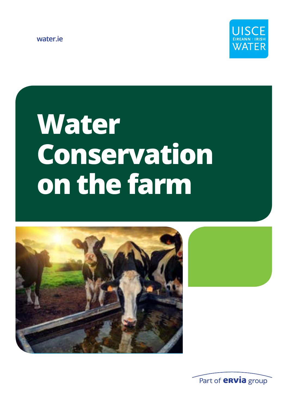**water.ie**



# **Water Conservation on the farm**



Part of **envia** group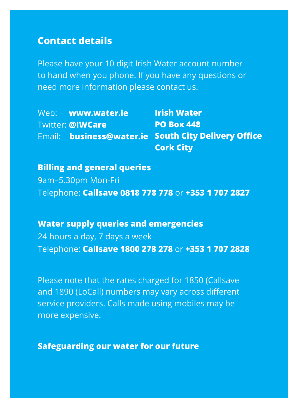#### **Contact details**

Please have your 10 digit Irish Water account number to hand when you phone. If you have any questions or need more information please contact us.

|  | Web: www.water.ie       | <b>Irish Water</b>                                  |
|--|-------------------------|-----------------------------------------------------|
|  | <b>Twitter: @IWCare</b> | <b>PO Box 448</b>                                   |
|  |                         | Email: business@water.ie South City Delivery Office |
|  |                         | <b>Cork City</b>                                    |

**Billing and general queries** 9am–5.30pm Mon-Fri Telephone: **Callsave 0818 778 778** or **+353 1 707 2827**

**Water supply queries and emergencies** 24 hours a day, 7 days a week Telephone: **Callsave 1800 278 278** or **+353 1 707 2828**

Please note that the rates charged for 1850 (Callsave and 1890 (LoCall) numbers may vary across different service providers. Calls made using mobiles may be more expensive.

**Safeguarding our water for our future**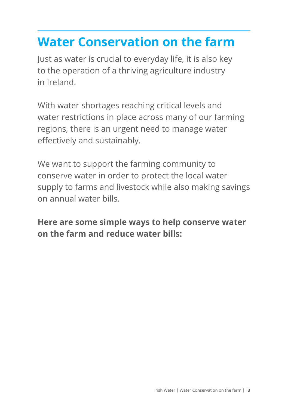## **Water Conservation on the farm**

Just as water is crucial to everyday life, it is also key to the operation of a thriving agriculture industry in Ireland.

With water shortages reaching critical levels and water restrictions in place across many of our farming regions, there is an urgent need to manage water effectively and sustainably.

We want to support the farming community to conserve water in order to protect the local water supply to farms and livestock while also making savings on annual water bills.

**Here are some simple ways to help conserve water on the farm and reduce water bills:**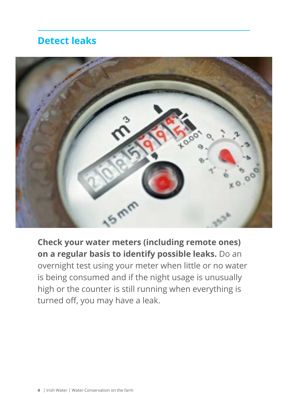#### **Detect leaks**



**Check your water meters (including remote ones) on a regular basis to identify possible leaks.** Do an overnight test using your meter when little or no water is being consumed and if the night usage is unusually high or the counter is still running when everything is turned off, you may have a leak.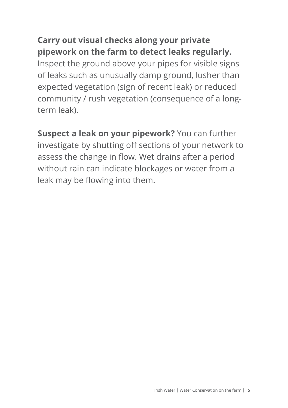#### **Carry out visual checks along your private pipework on the farm to detect leaks regularly.**

Inspect the ground above your pipes for visible signs of leaks such as unusually damp ground, lusher than expected vegetation (sign of recent leak) or reduced community / rush vegetation (consequence of a longterm leak).

**Suspect a leak on your pipework?** You can further investigate by shutting off sections of your network to assess the change in flow. Wet drains after a period without rain can indicate blockages or water from a leak may be flowing into them.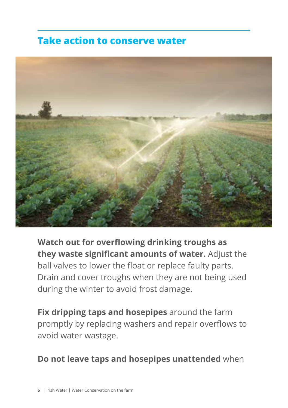#### **Take action to conserve water**



**Watch out for overflowing drinking troughs as they waste significant amounts of water.** Adjust the ball valves to lower the float or replace faulty parts. Drain and cover troughs when they are not being used during the winter to avoid frost damage.

**Fix dripping taps and hosepipes** around the farm promptly by replacing washers and repair overflows to avoid water wastage.

#### **Do not leave taps and hosepipes unattended** when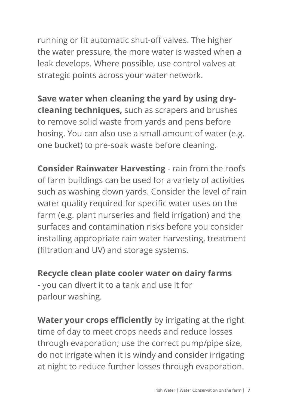running or fit automatic shut-off valves. The higher the water pressure, the more water is wasted when a leak develops. Where possible, use control valves at strategic points across your water network.

**Save water when cleaning the yard by using drycleaning techniques,** such as scrapers and brushes to remove solid waste from yards and pens before hosing. You can also use a small amount of water (e.g. one bucket) to pre-soak waste before cleaning.

**Consider Rainwater Harvesting** - rain from the roofs of farm buildings can be used for a variety of activities such as washing down yards. Consider the level of rain water quality required for specific water uses on the farm (e.g. plant nurseries and field irrigation) and the surfaces and contamination risks before you consider installing appropriate rain water harvesting, treatment (filtration and UV) and storage systems.

**Recycle clean plate cooler water on dairy farms** - you can divert it to a tank and use it for parlour washing.

**Water your crops efficiently** by irrigating at the right time of day to meet crops needs and reduce losses through evaporation; use the correct pump/pipe size, do not irrigate when it is windy and consider irrigating at night to reduce further losses through evaporation.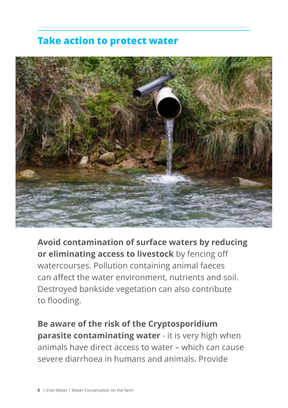#### **Take action to protect water**



**Avoid contamination of surface waters by reducing or eliminating access to livestock** by fencing off watercourses. Pollution containing animal faeces can affect the water environment, nutrients and soil. Destroyed bankside vegetation can also contribute to flooding.

**Be aware of the risk of the Cryptosporidium parasite contaminating water** - it is very high when animals have direct access to water – which can cause severe diarrhoea in humans and animals. Provide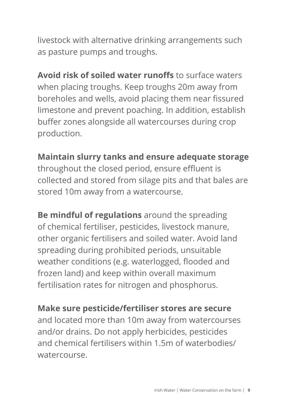livestock with alternative drinking arrangements such as pasture pumps and troughs.

**Avoid risk of soiled water runoffs** to surface waters when placing troughs. Keep troughs 20m away from boreholes and wells, avoid placing them near fissured limestone and prevent poaching. In addition, establish buffer zones alongside all watercourses during crop production.

**Maintain slurry tanks and ensure adequate storage** throughout the closed period, ensure effluent is collected and stored from silage pits and that bales are stored 10m away from a watercourse.

**Be mindful of regulations** around the spreading of chemical fertiliser, pesticides, livestock manure, other organic fertilisers and soiled water. Avoid land spreading during prohibited periods, unsuitable weather conditions (e.g. waterlogged, flooded and frozen land) and keep within overall maximum fertilisation rates for nitrogen and phosphorus.

**Make sure pesticide/fertiliser stores are secure** and located more than 10m away from watercourses and/or drains. Do not apply herbicides, pesticides and chemical fertilisers within 1.5m of waterbodies/ watercourse.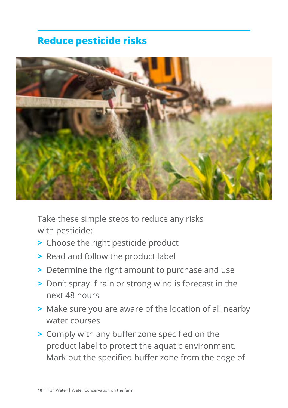### **Reduce pesticide risks**



Take these simple steps to reduce any risks with pesticide:

- **>** Choose the right pesticide product
- **>** Read and follow the product label
- **>** Determine the right amount to purchase and use
- **>** Don't spray if rain or strong wind is forecast in the next 48 hours
- **>** Make sure you are aware of the location of all nearby water courses
- **>** Comply with any buffer zone specified on the product label to protect the aquatic environment. Mark out the specified buffer zone from the edge of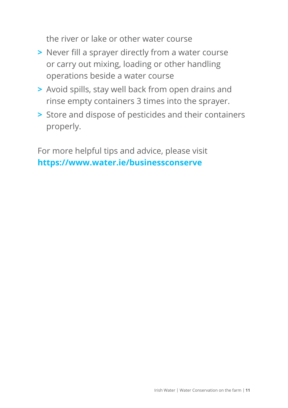the river or lake or other water course

- **>** Never fill a sprayer directly from a water course or carry out mixing, loading or other handling operations beside a water course
- **>** Avoid spills, stay well back from open drains and rinse empty containers 3 times into the sprayer.
- **>** Store and dispose of pesticides and their containers properly.

For more helpful tips and advice, please visit **https://www.water.ie/businessconserve**